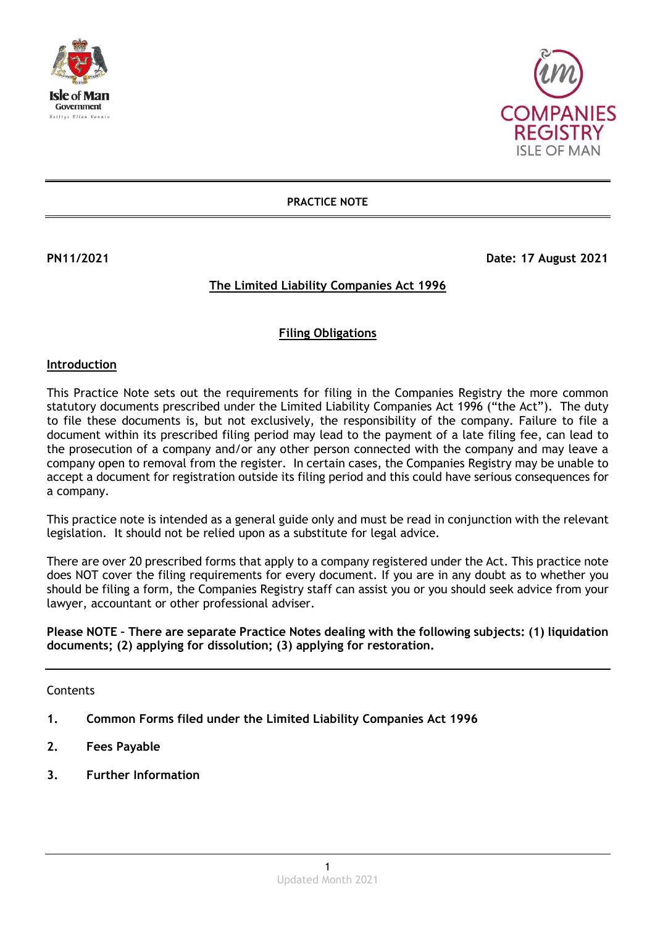



**PRACTICE NOTE**

**PN11/2021 Date: 17 August 2021** 

# **The Limited Liability Companies Act 1996**

# **Filing Obligations**

### **Introduction**

This Practice Note sets out the requirements for filing in the Companies Registry the more common statutory documents prescribed under the Limited Liability Companies Act 1996 ("the Act"). The duty to file these documents is, but not exclusively, the responsibility of the company. Failure to file a document within its prescribed filing period may lead to the payment of a late filing fee, can lead to the prosecution of a company and/or any other person connected with the company and may leave a company open to removal from the register. In certain cases, the Companies Registry may be unable to accept a document for registration outside its filing period and this could have serious consequences for a company.

This practice note is intended as a general guide only and must be read in conjunction with the relevant legislation. It should not be relied upon as a substitute for legal advice.

There are over 20 prescribed forms that apply to a company registered under the Act. This practice note does NOT cover the filing requirements for every document. If you are in any doubt as to whether you should be filing a form, the Companies Registry staff can assist you or you should seek advice from your lawyer, accountant or other professional adviser.

**Please NOTE – There are separate Practice Notes dealing with the following subjects: (1) liquidation documents; (2) applying for dissolution; (3) applying for restoration.**

Contents

- **1. Common Forms filed under the Limited Liability Companies Act 1996**
- **2. Fees Payable**
- **3. Further Information**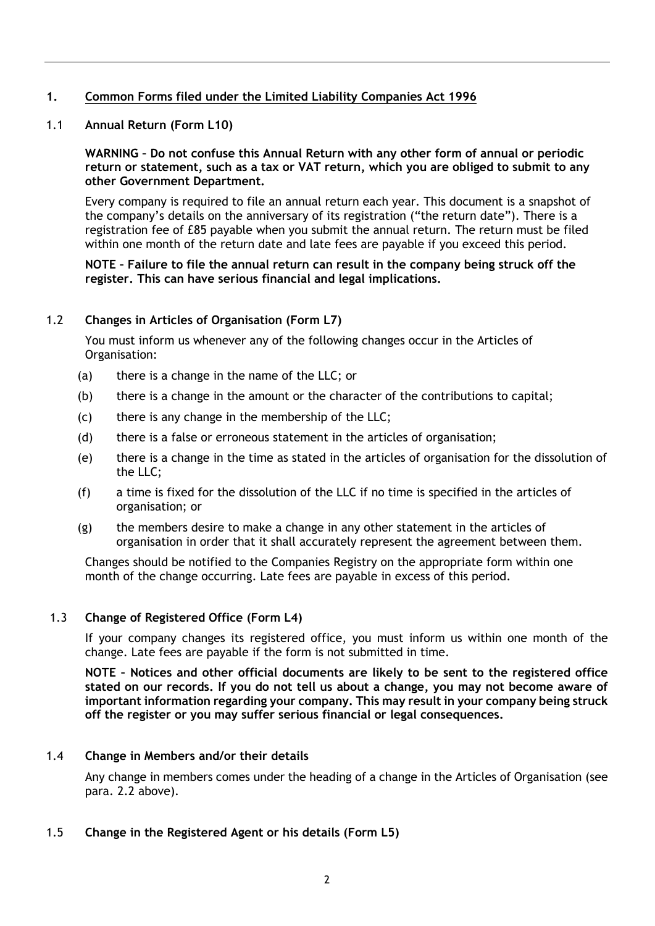# **1. Common Forms filed under the Limited Liability Companies Act 1996**

1.1 **Annual Return (Form L10)**

**WARNING – Do not confuse this Annual Return with any other form of annual or periodic return or statement, such as a tax or VAT return, which you are obliged to submit to any other Government Department.**

Every company is required to file an annual return each year. This document is a snapshot of the company's details on the anniversary of its registration ("the return date"). There is a registration fee of £85 payable when you submit the annual return. The return must be filed within one month of the return date and late fees are payable if you exceed this period.

## **NOTE – Failure to file the annual return can result in the company being struck off the register. This can have serious financial and legal implications.**

## 1.2 **Changes in Articles of Organisation (Form L7)**

You must inform us whenever any of the following changes occur in the Articles of Organisation:

- (a) there is a change in the name of the LLC; or
- (b) there is a change in the amount or the character of the contributions to capital;
- (c) there is any change in the membership of the LLC;
- (d) there is a false or erroneous statement in the articles of organisation;
- (e) there is a change in the time as stated in the articles of organisation for the dissolution of the LLC;
- (f) a time is fixed for the dissolution of the LLC if no time is specified in the articles of organisation; or
- (g) the members desire to make a change in any other statement in the articles of organisation in order that it shall accurately represent the agreement between them.

Changes should be notified to the Companies Registry on the appropriate form within one month of the change occurring. Late fees are payable in excess of this period.

## 1.3 **Change of Registered Office (Form L4)**

If your company changes its registered office, you must inform us within one month of the change. Late fees are payable if the form is not submitted in time.

**NOTE – Notices and other official documents are likely to be sent to the registered office stated on our records. If you do not tell us about a change, you may not become aware of important information regarding your company. This may result in your company being struck off the register or you may suffer serious financial or legal consequences.** 

#### 1.4 **Change in Members and/or their details**

Any change in members comes under the heading of a change in the Articles of Organisation (see para. 2.2 above).

1.5 **Change in the Registered Agent or his details (Form L5)**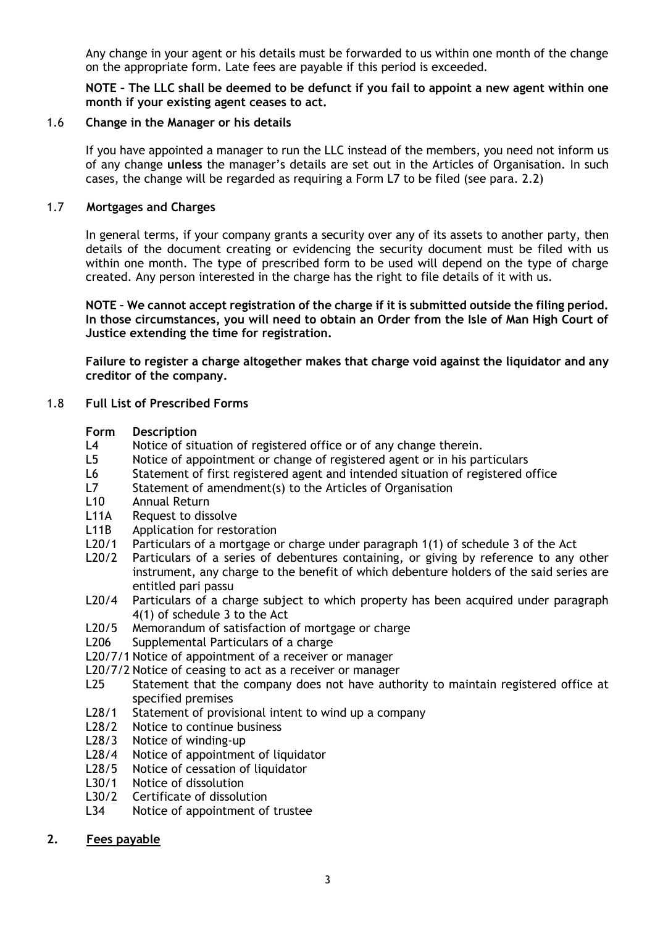Any change in your agent or his details must be forwarded to us within one month of the change on the appropriate form. Late fees are payable if this period is exceeded.

**NOTE – The LLC shall be deemed to be defunct if you fail to appoint a new agent within one month if your existing agent ceases to act.** 

#### 1.6 **Change in the Manager or his details**

If you have appointed a manager to run the LLC instead of the members, you need not inform us of any change **unless** the manager's details are set out in the Articles of Organisation. In such cases, the change will be regarded as requiring a Form L7 to be filed (see para. 2.2)

## 1.7 **Mortgages and Charges**

In general terms, if your company grants a security over any of its assets to another party, then details of the document creating or evidencing the security document must be filed with us within one month. The type of prescribed form to be used will depend on the type of charge created. Any person interested in the charge has the right to file details of it with us.

**NOTE – We cannot accept registration of the charge if it is submitted outside the filing period. In those circumstances, you will need to obtain an Order from the Isle of Man High Court of Justice extending the time for registration.**

**Failure to register a charge altogether makes that charge void against the liquidator and any creditor of the company.**

### 1.8 **Full List of Prescribed Forms**

#### **Form Description**

- L4 Notice of situation of registered office or of any change therein.
- L5 Notice of appointment or change of registered agent or in his particulars
- L6 Statement of first registered agent and intended situation of registered office
- L7 Statement of amendment(s) to the Articles of Organisation
- L10 Annual Return
- L11A Request to dissolve
- L11B Application for restoration
- L20/1 Particulars of a mortgage or charge under paragraph 1(1) of schedule 3 of the Act
- L20/2 Particulars of a series of debentures containing, or giving by reference to any other instrument, any charge to the benefit of which debenture holders of the said series are entitled pari passu
- L20/4 Particulars of a charge subject to which property has been acquired under paragraph 4(1) of schedule 3 to the Act
- L20/5 Memorandum of satisfaction of mortgage or charge
- L206 Supplemental Particulars of a charge
- L20/7/1 Notice of appointment of a receiver or manager
- L20/7/2 Notice of ceasing to act as a receiver or manager
- L25 Statement that the company does not have authority to maintain registered office at specified premises
- L28/1 Statement of provisional intent to wind up a company
- L28/2 Notice to continue business
- L28/3 Notice of winding-up
- L28/4 Notice of appointment of liquidator
- L28/5 Notice of cessation of liquidator
- L30/1 Notice of dissolution
- L30/2 Certificate of dissolution
- L34 Notice of appointment of trustee

## **2. Fees payable**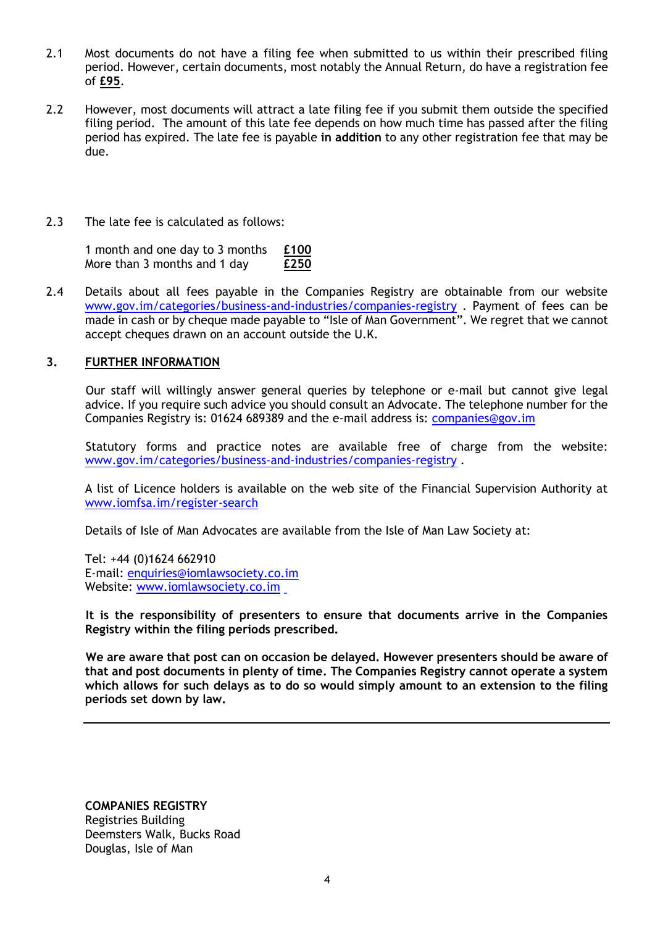- 2.1 Most documents do not have a filing fee when submitted to us within their prescribed filing period. However, certain documents, most notably the Annual Return, do have a registration fee of **£95**.
- 2.2 However, most documents will attract a late filing fee if you submit them outside the specified filing period. The amount of this late fee depends on how much time has passed after the filing period has expired. The late fee is payable **in addition** to any other registration fee that may be due.
- 2.3 The late fee is calculated as follows:

1 month and one day to 3 months **£100** More than 3 months and 1 day **£250**

2.4 Details about all fees payable in the Companies Registry are obtainable from our website [www.gov.im/categories/business-and-industries/companies-registry](http://www.gov.im/categories/business-and-industries/companies-registry) . Payment of fees can be made in cash or by cheque made payable to "Isle of Man Government". We regret that we cannot accept cheques drawn on an account outside the U.K.

# **3. FURTHER INFORMATION**

Our staff will willingly answer general queries by telephone or e-mail but cannot give legal advice. If you require such advice you should consult an Advocate. The telephone number for the Companies Registry is: 01624 689389 and the e-mail address is: [companies@gov.im](mailto:companies.registry@gov.im)

Statutory forms and practice notes are available free of charge from the website: [www.gov.im/categories/business-and-industries/companies-registry](http://www.gov.im/categories/business-and-industries/companies-registry) .

A list of Licence holders is available on the web site of the Financial Supervision Authority at [www.iomfsa.im/register-search](http://www.iomfsa.im/register-search) 

Details of Isle of Man Advocates are available from the Isle of Man Law Society at:

Tel: +44 (0)1624 662910 E-mail: [enquiries@iomlawsociety.co.im](mailto:enquiries@iomlawsociety.co.im) Website: [www.iomlawsociety.co.im](http://www.iomlawsociety.co.im/)

**It is the responsibility of presenters to ensure that documents arrive in the Companies Registry within the filing periods prescribed.**

**We are aware that post can on occasion be delayed. However presenters should be aware of that and post documents in plenty of time. The Companies Registry cannot operate a system which allows for such delays as to do so would simply amount to an extension to the filing periods set down by law.**

**COMPANIES REGISTRY** Registries Building Deemsters Walk, Bucks Road Douglas, Isle of Man